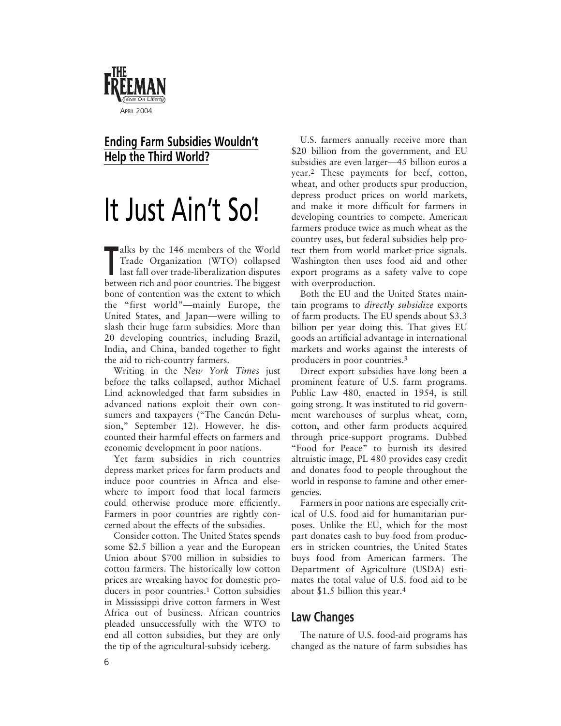

## **Ending Farm Subsidies Wouldn't Help the Third World?**

## It Just Ain't So!

Talks by the 146 members of the World<br>
Trade Organization (WTO) collapsed<br>
last fall over trade-liberalization disputes Trade Organization (WTO) collapsed between rich and poor countries. The biggest bone of contention was the extent to which the "first world"—mainly Europe, the United States, and Japan—were willing to slash their huge farm subsidies. More than 20 developing countries, including Brazil, India, and China, banded together to fight the aid to rich-country farmers.

Writing in the *New York Times* just before the talks collapsed, author Michael Lind acknowledged that farm subsidies in advanced nations exploit their own consumers and taxpayers ("The Cancún Delusion," September 12). However, he discounted their harmful effects on farmers and economic development in poor nations.

Yet farm subsidies in rich countries depress market prices for farm products and induce poor countries in Africa and elsewhere to import food that local farmers could otherwise produce more efficiently. Farmers in poor countries are rightly concerned about the effects of the subsidies.

Consider cotton. The United States spends some \$2.5 billion a year and the European Union about \$700 million in subsidies to cotton farmers. The historically low cotton prices are wreaking havoc for domestic producers in poor countries.<sup>1</sup> Cotton subsidies in Mississippi drive cotton farmers in West Africa out of business. African countries pleaded unsuccessfully with the WTO to end all cotton subsidies, but they are only the tip of the agricultural-subsidy iceberg.

U.S. farmers annually receive more than \$20 billion from the government, and EU subsidies are even larger—45 billion euros a year.2 These payments for beef, cotton, wheat, and other products spur production, depress product prices on world markets, and make it more difficult for farmers in developing countries to compete. American farmers produce twice as much wheat as the country uses, but federal subsidies help protect them from world market-price signals. Washington then uses food aid and other export programs as a safety valve to cope with overproduction.

Both the EU and the United States maintain programs to *directly subsidize* exports of farm products. The EU spends about \$3.3 billion per year doing this. That gives EU goods an artificial advantage in international markets and works against the interests of producers in poor countries.3

Direct export subsidies have long been a prominent feature of U.S. farm programs. Public Law 480, enacted in 1954, is still going strong. It was instituted to rid government warehouses of surplus wheat, corn, cotton, and other farm products acquired through price-support programs. Dubbed "Food for Peace" to burnish its desired altruistic image, PL 480 provides easy credit and donates food to people throughout the world in response to famine and other emergencies.

Farmers in poor nations are especially critical of U.S. food aid for humanitarian purposes. Unlike the EU, which for the most part donates cash to buy food from producers in stricken countries, the United States buys food from American farmers. The Department of Agriculture (USDA) estimates the total value of U.S. food aid to be about \$1.5 billion this year.4

## **Law Changes**

The nature of U.S. food-aid programs has changed as the nature of farm subsidies has